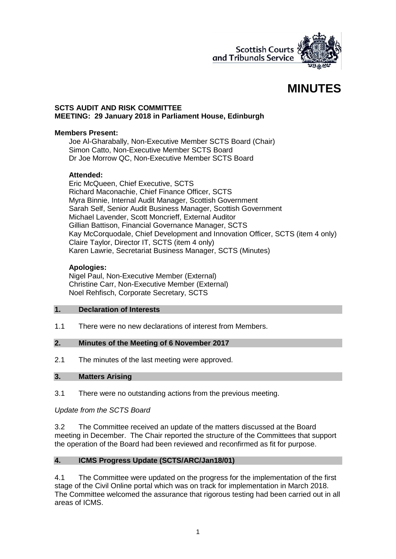

# **MINUTES**

## **SCTS AUDIT AND RISK COMMITTEE MEETING: 29 January 2018 in Parliament House, Edinburgh**

# **Members Present:**

Joe Al-Gharabally, Non-Executive Member SCTS Board (Chair) Simon Catto, Non-Executive Member SCTS Board Dr Joe Morrow QC, Non-Executive Member SCTS Board

### **Attended:**

Eric McQueen, Chief Executive, SCTS Richard Maconachie, Chief Finance Officer, SCTS Myra Binnie, Internal Audit Manager, Scottish Government Sarah Self, Senior Audit Business Manager, Scottish Government Michael Lavender, Scott Moncrieff, External Auditor Gillian Battison, Financial Governance Manager, SCTS Kay McCorquodale, Chief Development and Innovation Officer, SCTS (item 4 only) Claire Taylor, Director IT, SCTS (item 4 only) Karen Lawrie, Secretariat Business Manager, SCTS (Minutes)

# **Apologies:**

Nigel Paul, Non-Executive Member (External) Christine Carr, Non-Executive Member (External) Noel Rehfisch, Corporate Secretary, SCTS

### **1. Declaration of Interests**

1.1 There were no new declarations of interest from Members.

# **2. Minutes of the Meeting of 6 November 2017**

2.1 The minutes of the last meeting were approved.

#### **3. Matters Arising**

3.1 There were no outstanding actions from the previous meeting.

# *Update from the SCTS Board*

3.2 The Committee received an update of the matters discussed at the Board meeting in December. The Chair reported the structure of the Committees that support the operation of the Board had been reviewed and reconfirmed as fit for purpose.

#### **4. ICMS Progress Update (SCTS/ARC/Jan18/01)**

4.1 The Committee were updated on the progress for the implementation of the first stage of the Civil Online portal which was on track for implementation in March 2018. The Committee welcomed the assurance that rigorous testing had been carried out in all areas of ICMS.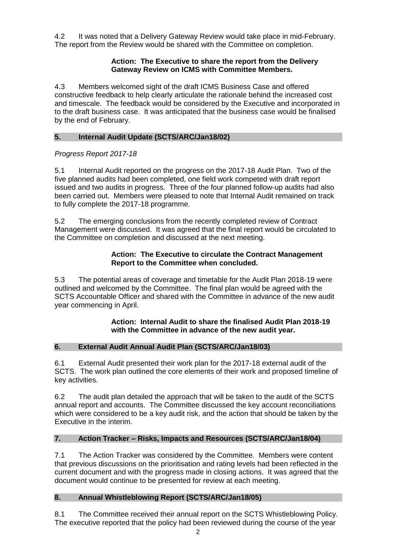4.2 It was noted that a Delivery Gateway Review would take place in mid-February. The report from the Review would be shared with the Committee on completion.

# **Action: The Executive to share the report from the Delivery Gateway Review on ICMS with Committee Members.**

4.3 Members welcomed sight of the draft ICMS Business Case and offered constructive feedback to help clearly articulate the rationale behind the increased cost and timescale. The feedback would be considered by the Executive and incorporated in to the draft business case. It was anticipated that the business case would be finalised by the end of February.

# **5. Internal Audit Update (SCTS/ARC/Jan18/02)**

# *Progress Report 2017-18*

5.1 Internal Audit reported on the progress on the 2017-18 Audit Plan. Two of the five planned audits had been completed, one field work competed with draft report issued and two audits in progress. Three of the four planned follow-up audits had also been carried out. Members were pleased to note that Internal Audit remained on track to fully complete the 2017-18 programme.

5.2 The emerging conclusions from the recently completed review of Contract Management were discussed. It was agreed that the final report would be circulated to the Committee on completion and discussed at the next meeting.

## **Action: The Executive to circulate the Contract Management Report to the Committee when concluded.**

5.3 The potential areas of coverage and timetable for the Audit Plan 2018-19 were outlined and welcomed by the Committee. The final plan would be agreed with the SCTS Accountable Officer and shared with the Committee in advance of the new audit year commencing in April.

### **Action: Internal Audit to share the finalised Audit Plan 2018-19 with the Committee in advance of the new audit year.**

# **6. External Audit Annual Audit Plan (SCTS/ARC/Jan18/03)**

6.1 External Audit presented their work plan for the 2017-18 external audit of the SCTS. The work plan outlined the core elements of their work and proposed timeline of key activities.

6.2 The audit plan detailed the approach that will be taken to the audit of the SCTS annual report and accounts. The Committee discussed the key account reconciliations which were considered to be a key audit risk, and the action that should be taken by the Executive in the interim.

# **7. Action Tracker – Risks, Impacts and Resources (SCTS/ARC/Jan18/04)**

7.1 The Action Tracker was considered by the Committee. Members were content that previous discussions on the prioritisation and rating levels had been reflected in the current document and with the progress made in closing actions. It was agreed that the document would continue to be presented for review at each meeting.

# **8. Annual Whistleblowing Report (SCTS/ARC/Jan18/05)**

8.1 The Committee received their annual report on the SCTS Whistleblowing Policy. The executive reported that the policy had been reviewed during the course of the year